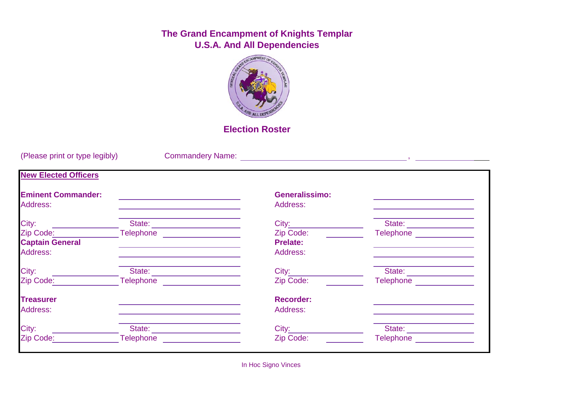## **The Grand Encampment of Knights Templar U.S.A. And All Dependencies**



## **Election Roster**

| (Please print or type legibly)        |                                                                                                                                                                                                                                    |                                   |                                                                                                                                                                                                                                    |
|---------------------------------------|------------------------------------------------------------------------------------------------------------------------------------------------------------------------------------------------------------------------------------|-----------------------------------|------------------------------------------------------------------------------------------------------------------------------------------------------------------------------------------------------------------------------------|
| <b>New Elected Officers</b>           |                                                                                                                                                                                                                                    |                                   |                                                                                                                                                                                                                                    |
| <b>Eminent Commander:</b><br>Address: |                                                                                                                                                                                                                                    | <b>Generalissimo:</b><br>Address: |                                                                                                                                                                                                                                    |
| City:                                 |                                                                                                                                                                                                                                    | City:                             | State:<br><u> 1989 - Jan Stein Stein Stein Stein Stein Stein Stein Stein Stein Stein Stein Stein Stein Stein Stein Stein S</u>                                                                                                     |
| Zip Code:                             | Telephone <u>______________</u>                                                                                                                                                                                                    | Zip Code:                         | <b>Telephone Telephone</b>                                                                                                                                                                                                         |
| <b>Captain General</b>                |                                                                                                                                                                                                                                    | <b>Prelate:</b>                   |                                                                                                                                                                                                                                    |
| Address:                              |                                                                                                                                                                                                                                    | Address:                          |                                                                                                                                                                                                                                    |
| City:                                 | State:                                                                                                                                                                                                                             | $City_{--}$                       | State:                                                                                                                                                                                                                             |
| Zip Code:                             | <b>Telephone Contract Contract Contract Contract Contract Contract Contract Contract Contract Contract Contract Contract Contract Contract Contract Contract Contract Contract Contract Contract Contract Contract Contract Co</b> | Zip Code:                         | <b>Telephone Contract Contract Contract Contract Contract Contract Contract Contract Contract Contract Contract Contract Contract Contract Contract Contract Contract Contract Contract Contract Contract Contract Contract Co</b> |
| <b>Treasurer</b>                      |                                                                                                                                                                                                                                    | <b>Recorder:</b>                  |                                                                                                                                                                                                                                    |
| Address:                              |                                                                                                                                                                                                                                    | Address:                          |                                                                                                                                                                                                                                    |
| City:                                 | State:                                                                                                                                                                                                                             | City:                             | State:                                                                                                                                                                                                                             |
| Zip Code:                             | <b>Telephone</b>                                                                                                                                                                                                                   | Zip Code:                         | Telephone                                                                                                                                                                                                                          |